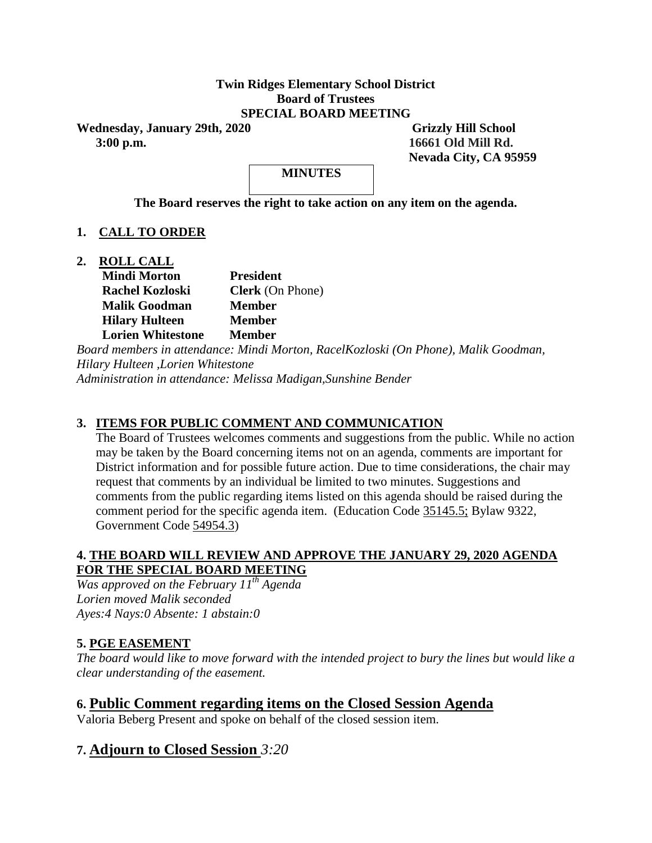#### **Twin Ridges Elementary School District Board of Trustees SPECIAL BOARD MEETING**

Wednesday, January 29th, 2020 Grizzly Hill School  **3:00 p.m. 16661 Old Mill Rd.**

 **Nevada City, CA 95959**

**MINUTES**

**The Board reserves the right to take action on any item on the agenda.**

## **1. CALL TO ORDER**

**2. ROLL CALL**

| <b>Mindi Morton</b>      | <b>President</b>        |
|--------------------------|-------------------------|
| <b>Rachel Kozloski</b>   | <b>Clerk</b> (On Phone) |
| <b>Malik Goodman</b>     | <b>Member</b>           |
| <b>Hilary Hulteen</b>    | Member                  |
| <b>Lorien Whitestone</b> | <b>Member</b>           |

*Board members in attendance: Mindi Morton, RacelKozloski (On Phone), Malik Goodman, Hilary Hulteen ,Lorien Whitestone Administration in attendance: Melissa Madigan,Sunshine Bender* 

## **3. ITEMS FOR PUBLIC COMMENT AND COMMUNICATION**

The Board of Trustees welcomes comments and suggestions from the public. While no action may be taken by the Board concerning items not on an agenda, comments are important for District information and for possible future action. Due to time considerations, the chair may request that comments by an individual be limited to two minutes. Suggestions and comments from the public regarding items listed on this agenda should be raised during the comment period for the specific agenda item. (Education Code 35145.5; Bylaw 9322, Government Code 54954.3)

#### **4. THE BOARD WILL REVIEW AND APPROVE THE JANUARY 29, 2020 AGENDA FOR THE SPECIAL BOARD MEETING**

*Was approved on the February 11th Agenda Lorien moved Malik seconded Ayes:4 Nays:0 Absente: 1 abstain:0* 

#### **5. PGE EASEMENT**

*The board would like to move forward with the intended project to bury the lines but would like a clear understanding of the easement.* 

# **6. Public Comment regarding items on the Closed Session Agenda**

Valoria Beberg Present and spoke on behalf of the closed session item.

## **7. Adjourn to Closed Session** *3:20*